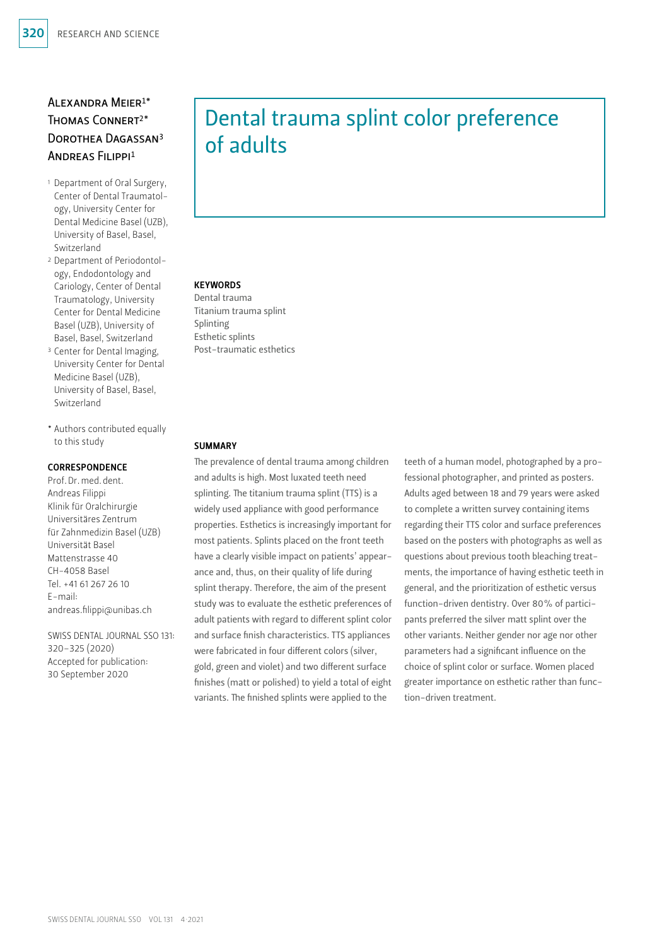# Alexandra Meier1\* Thomas Connert2\* Dorothea Dagassan3 Andreas Filippi1

- 1 Department of Oral Surgery, Center of Dental Traumatology, University Center for Dental Medicine Basel (UZB), University of Basel, Basel, Switzerland
- 2 Department of Periodontology, Endodontology and Cariology, Center of Dental Traumatology, University Center for Dental Medicine Basel (UZB), University of Basel, Basel, Switzerland
- <sup>3</sup> Center for Dental Imaging, University Center for Dental Medicine Basel (UZB), University of Basel, Basel, Switzerland
- \* Authors contributed equally to this study

### CORRESPONDENCE

Prof.Dr.med.dent. Andreas Filippi Klinik für Oralchirurgie Universitäres Zentrum für Zahnmedizin Basel (UZB) Universität Basel Mattenstrasse 40 CH-4058 Basel Tel. +41 61 267 26 10 E-mail: andreas.filippi@unibas.ch

SWISS DENTAL JOURNAL SSO 131: 320–325 (2020) Accepted for publication: 30 September 2020

# Dental trauma splint color preference of adults

# **KEYWORDS**

Dental trauma Titanium trauma splint Splinting Esthetic splints Post-traumatic esthetics

### SUMMARY

The prevalence of dental trauma among children and adults is high. Most luxated teeth need splinting. The titanium trauma splint (TTS) is a widely used appliance with good performance properties. Esthetics is increasingly important for most patients. Splints placed on the front teeth have a clearly visible impact on patients' appearance and, thus, on their quality of life during splint therapy. Therefore, the aim of the present study was to evaluate the esthetic preferences of adult patients with regard to different splint color and surface finish characteristics. TTS appliances were fabricated in four different colors (silver, gold, green and violet) and two different surface finishes (matt or polished) to yield a total of eight variants. The finished splints were applied to the

teeth of a human model, photographed by a professional photographer, and printed as posters. Adults aged between 18 and 79 years were asked to complete a written survey containing items regarding their TTS color and surface preferences based on the posters with photographs as well as questions about previous tooth bleaching treatments, the importance of having esthetic teeth in general, and the prioritization of esthetic versus function-driven dentistry. Over 80% of participants preferred the silver matt splint over the other variants. Neither gender nor age nor other parameters had a significant influence on the choice of splint color or surface. Women placed greater importance on esthetic rather than function-driven treatment.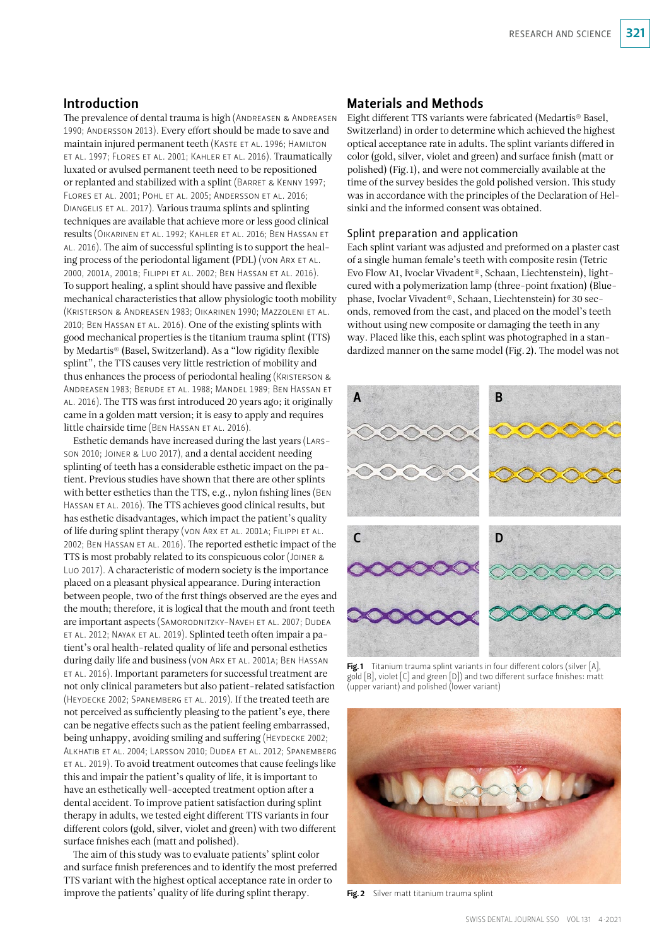# Introduction

The prevalence of dental trauma is high (ANDREASEN & ANDREASEN 1990; Andersson 2013). Every effort should be made to save and maintain injured permanent teeth (Kaste et al. 1996; Hamilton et al. 1997; Flores et al. 2001; Kahler et al. 2016). Traumatically luxated or avulsed permanent teeth need to be repositioned or replanted and stabilized with a splint (BARRET & KENNY 1997; Flores et al. 2001; Pohl et al. 2005; Andersson et al. 2016; Diangelis et al. 2017). Various trauma splints and splinting techniques are available that achieve more or less good clinical results (Oikarinen et al. 1992; Kahler et al. 2016; Ben Hassan et al. 2016). The aim of successful splinting is to support the healing process of the periodontal ligament (PDL) (von ARX ET AL. 2000, 2001a, 2001b; Filippi et al. 2002; Ben Hassan et al. 2016). To support healing, a splint should have passive and flexible mechanical characteristics that allow physiologic tooth mobility (Kristerson & Andreasen 1983; Oikarinen 1990; Mazzoleni et al. 2010; Ben Hassan et al. 2016). One of the existing splints with good mechanical properties is the titanium trauma splint (TTS) by Medartis® (Basel, Switzerland). As a "low rigidity flexible splint", the TTS causes very little restriction of mobility and thus enhances the process of periodontal healing (KRISTERSON & Andreasen 1983; Berude et al. 1988; Mandel 1989; Ben Hassan et al. 2016). The TTS was first introduced 20 years ago; it originally came in a golden matt version; it is easy to apply and requires little chairside time (BEN HASSAN ET AL. 2016).

Esthetic demands have increased during the last years (Larsson 2010; Joiner & Luo 2017), and a dental accident needing splinting of teeth has a considerable esthetic impact on the patient. Previous studies have shown that there are other splints with better esthetics than the TTS, e.g., nylon fishing lines (Ben HASSAN ET AL. 2016). The TTS achieves good clinical results, but has esthetic disadvantages, which impact the patient's quality of life during splint therapy (von Arx et al. 2001a; Filippi et al. 2002; Ben Hassan et al. 2016). The reported esthetic impact of the TTS is most probably related to its conspicuous color (Joiner & Luo 2017). A characteristic of modern society is the importance placed on a pleasant physical appearance. During interaction between people, two of the first things observed are the eyes and the mouth; therefore, it is logical that the mouth and front teeth are important aspects (SAMORODNITZKY-NAVEH ET AL. 2007; DUDEA et al. 2012; Nayak et al. 2019). Splinted teeth often impair a patient's oral health-related quality of life and personal esthetics during daily life and business (von ARX ET AL. 2001A; BEN HASSAN et al. 2016). Important parameters for successful treatment are not only clinical parameters but also patient-related satisfaction (Heydecke 2002; Spanemberg et al. 2019). If the treated teeth are not perceived as sufficiently pleasing to the patient's eye, there can be negative effects such as the patient feeling embarrassed, being unhappy, avoiding smiling and suffering (HEYDECKE 2002; Alkhatib et al. 2004; Larsson 2010; Dudea et al. 2012; Spanemberg et al. 2019). To avoid treatment outcomes that cause feelings like this and impair the patient's quality of life, it is important to have an esthetically well-accepted treatment option after a dental accident. To improve patient satisfaction during splint therapy in adults, we tested eight different TTS variants in four different colors (gold, silver, violet and green) with two different surface finishes each (matt and polished).

The aim of this study was to evaluate patients' splint color and surface finish preferences and to identify the most preferred TTS variant with the highest optical acceptance rate in order to improve the patients' quality of life during splint therapy.

# Materials and Methods

Eight different TTS variants were fabricated (Medartis® Basel, Switzerland) in order to determine which achieved the highest optical acceptance rate in adults. The splint variants differed in color (gold, silver, violet and green) and surface finish (matt or polished) (Fig.1), and were not commercially available at the time of the survey besides the gold polished version. This study was in accordance with the principles of the Declaration of Helsinki and the informed consent was obtained.

### Splint preparation and application

Each splint variant was adjusted and preformed on a plaster cast of a single human female's teeth with composite resin (Tetric Evo Flow A1, Ivoclar Vivadent®, Schaan, Liechtenstein), lightcured with a polymerization lamp (three-point fixation) (Bluephase, Ivoclar Vivadent®, Schaan, Liechtenstein) for 30 seconds, removed from the cast, and placed on the model's teeth without using new composite or damaging the teeth in any way. Placed like this, each splint was photographed in a standardized manner on the same model (Fig.2). The model was not



Fig.1 Titanium trauma splint variants in four different colors (silver  $[A]$ , gold [B], violet [C] and green [D]) and two different surface finishes: matt (upper variant) and polished (lower variant)



Fig. 2 Silver matt titanium trauma splint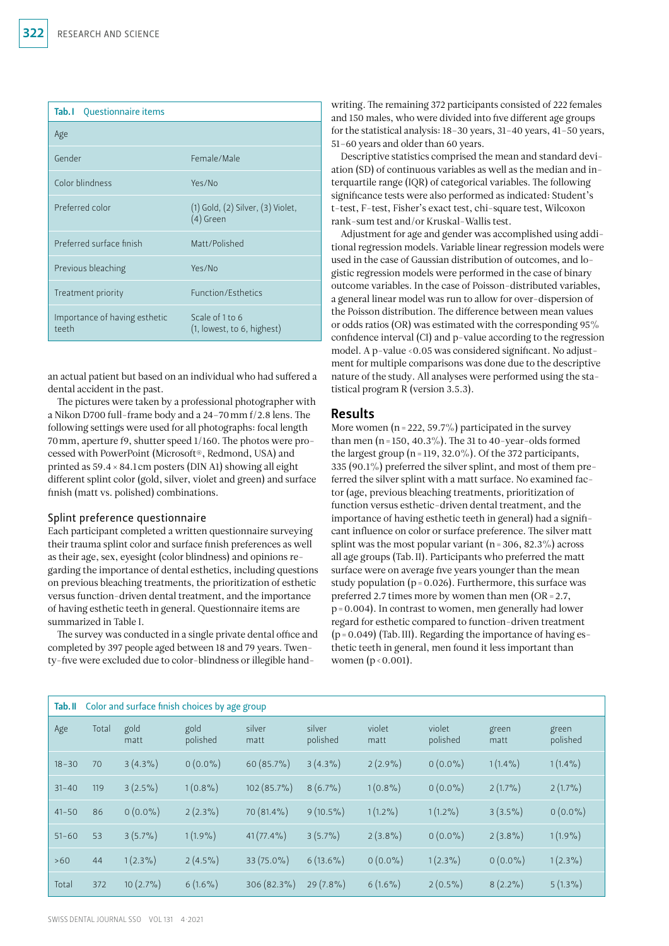| <b>Tab.</b> I Questionnaire items      |                                                      |  |  |  |  |  |
|----------------------------------------|------------------------------------------------------|--|--|--|--|--|
| Age                                    |                                                      |  |  |  |  |  |
| Gender                                 | Female/Male                                          |  |  |  |  |  |
| Color blindness                        | Yes/No                                               |  |  |  |  |  |
| Preferred color                        | $(1)$ Gold, $(2)$ Silver, $(3)$ Violet,<br>(4) Green |  |  |  |  |  |
| Preferred surface finish               | Matt/Polished                                        |  |  |  |  |  |
| Previous bleaching                     | Yes/No                                               |  |  |  |  |  |
| Treatment priority                     | <b>Function/Esthetics</b>                            |  |  |  |  |  |
| Importance of having esthetic<br>teeth | Scale of 1 to 6<br>(1, lowest, to 6, highest)        |  |  |  |  |  |

an actual patient but based on an individual who had suffered a dental accident in the past.

The pictures were taken by a professional photographer with a Nikon D700 full-frame body and a 24–70mm f/2.8 lens. The following settings were used for all photographs: focal length 70mm, aperture f9, shutter speed 1/160. The photos were processed with PowerPoint (Microsoft®, Redmond, USA) and printed as 59.4 × 84.1cm posters (DIN A1) showing all eight different splint color (gold, silver, violet and green) and surface finish (matt vs. polished) combinations.

### Splint preference questionnaire

Each participant completed a written questionnaire surveying their trauma splint color and surface finish preferences as well as their age, sex, eyesight (color blindness) and opinions regarding the importance of dental esthetics, including questions on previous bleaching treatments, the prioritization of esthetic versus function-driven dental treatment, and the importance of having esthetic teeth in general. Questionnaire items are summarized in Table I.

The survey was conducted in a single private dental office and completed by 397 people aged between 18 and 79 years. Twenty-five were excluded due to color-blindness or illegible handwriting. The remaining 372 participants consisted of 222 females and 150 males, who were divided into five different age groups for the statistical analysis: 18–30 years, 31–40 years, 41–50 years, 51–60 years and older than 60 years.

Descriptive statistics comprised the mean and standard deviation (SD) of continuous variables as well as the median and interquartile range (IQR) of categorical variables. The following significance tests were also performed as indicated: Student's t-test, F-test, Fisher's exact test, chi-square test, Wilcoxon rank-sum test and/or Kruskal-Wallis test.

Adjustment for age and gender was accomplished using additional regression models. Variable linear regression models were used in the case of Gaussian distribution of outcomes, and logistic regression models were performed in the case of binary outcome variables. In the case of Poisson-distributed variables, a general linear model was run to allow for over-dispersion of the Poisson distribution. The difference between mean values or odds ratios (OR) was estimated with the corresponding 95% confidence interval (CI) and p-value according to the regression model. A p-value <0.05 was considered significant. No adjustment for multiple comparisons was done due to the descriptive nature of the study. All analyses were performed using the statistical program R (version 3.5.3).

# Results

More women ( $n = 222, 59.7\%$ ) participated in the survey than men (n = 150, 40.3%). The 31 to 40-year-olds formed the largest group ( $n=119, 32.0\%$ ). Of the 372 participants, 335 (90.1%) preferred the silver splint, and most of them preferred the silver splint with a matt surface. No examined factor (age, previous bleaching treatments, prioritization of function versus esthetic-driven dental treatment, and the importance of having esthetic teeth in general) had a significant influence on color or surface preference. The silver matt splint was the most popular variant ( $n=306, 82.3\%$ ) across all age groups (Tab.II). Participants who preferred the matt surface were on average five years younger than the mean study population ( $p = 0.026$ ). Furthermore, this surface was preferred 2.7 times more by women than men (OR=2.7, p=0.004). In contrast to women, men generally had lower regard for esthetic compared to function-driven treatment  $(p=0.049)$  (Tab. III). Regarding the importance of having esthetic teeth in general, men found it less important than women  $(p < 0.001)$ .

| Tab. II   | Color and surface finish choices by age group |              |                  |                |                    |                |                    |               |                   |
|-----------|-----------------------------------------------|--------------|------------------|----------------|--------------------|----------------|--------------------|---------------|-------------------|
| Age       | Total                                         | gold<br>matt | gold<br>polished | silver<br>matt | silver<br>polished | violet<br>matt | violet<br>polished | green<br>matt | green<br>polished |
| $18 - 30$ | 70                                            | $3(4.3\%)$   | $0(0.0\%)$       | $60(85.7\%)$   | $3(4.3\%)$         | $2(2.9\%)$     | $0(0.0\%)$         | $1(1.4\%)$    | $1(1.4\%)$        |
| $31 - 40$ | 119                                           | $3(2.5\%)$   | $1(0.8\%)$       | $102(85.7\%)$  | $8(6.7\%)$         | $1(0.8\%)$     | $0(0.0\%)$         | $2(1.7\%)$    | $2(1.7\%)$        |
| $41 - 50$ | 86                                            | $0(0.0\%)$   | $2(2.3\%)$       | 70 (81.4%)     | $9(10.5\%)$        | $1(1.2\%)$     | $1(1.2\%)$         | $3(3.5\%)$    | $0(0.0\%)$        |
| $51 - 60$ | 53                                            | $3(5.7\%)$   | $1(1.9\%)$       | $41(77.4\%)$   | $3(5.7\%)$         | $2(3.8\%)$     | $0(0.0\%)$         | $2(3.8\%)$    | $1(1.9\%)$        |
| >60       | 44                                            | $1(2.3\%)$   | $2(4.5\%)$       | 33 (75.0%)     | $6(13.6\%)$        | $0(0.0\%)$     | $1(2.3\%)$         | $0(0.0\%)$    | $1(2.3\%)$        |
| Total     | 372                                           | $10(2.7\%)$  | $6(1.6\%)$       | $306(82.3\%)$  | $29(7.8\%)$        | $6(1.6\%)$     | $2(0.5\%)$         | $8(2.2\%)$    | $5(1.3\%)$        |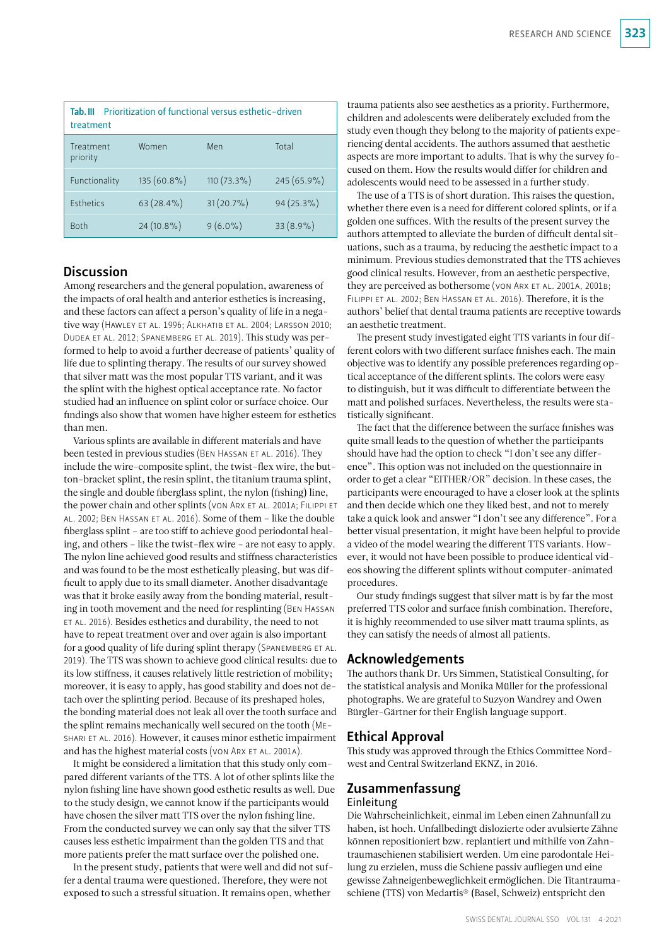| Prioritization of functional versus esthetic-driven<br>Tah III<br>treatment |               |               |              |  |  |  |  |
|-----------------------------------------------------------------------------|---------------|---------------|--------------|--|--|--|--|
| Treatment<br>priority                                                       | Women         | Men           | Total        |  |  |  |  |
| Functionality                                                               | $135(60.8\%)$ | $110(73.3\%)$ | 245 (65.9%)  |  |  |  |  |
| <b>Esthetics</b>                                                            | $63(28.4\%)$  | $31(20.7\%)$  | $94(25.3\%)$ |  |  |  |  |
| <b>Both</b>                                                                 | $24(10.8\%)$  | $9(6.0\%)$    | $33(8.9\%)$  |  |  |  |  |

# **Discussion**

Among researchers and the general population, awareness of the impacts of oral health and anterior esthetics is increasing, and these factors can affect a person's quality of life in a negative way (Hawley et al. 1996; Alkhatib et al. 2004; Larsson 2010; Dudea et al. 2012; Spanemberg et al. 2019). This study was performed to help to avoid a further decrease of patients' quality of life due to splinting therapy. The results of our survey showed that silver matt was the most popular TTS variant, and it was the splint with the highest optical acceptance rate. No factor studied had an influence on splint color or surface choice. Our findings also show that women have higher esteem for esthetics than men.

Various splints are available in different materials and have been tested in previous studies (BEN HASSAN ET AL. 2016). They include the wire-composite splint, the twist-flex wire, the button-bracket splint, the resin splint, the titanium trauma splint, the single and double fiberglass splint, the nylon (fishing) line, the power chain and other splints (von Arx et al. 2001a; Filippi et al. 2002; Ben Hassan et al. 2016). Some of them – like the double fiberglass splint – are too stiff to achieve good periodontal healing, and others – like the twist-flex wire – are not easy to apply. The nylon line achieved good results and stiffness characteristics and was found to be the most esthetically pleasing, but was difficult to apply due to its small diameter. Another disadvantage was that it broke easily away from the bonding material, resulting in tooth movement and the need for resplinting (Ben Hassan et al. 2016). Besides esthetics and durability, the need to not have to repeat treatment over and over again is also important for a good quality of life during splint therapy (SPANEMBERG ET AL. 2019). The TTS was shown to achieve good clinical results: due to its low stiffness, it causes relatively little restriction of mobility; moreover, it is easy to apply, has good stability and does not detach over the splinting period. Because of its preshaped holes, the bonding material does not leak all over the tooth surface and the splint remains mechanically well secured on the tooth (Meshari et al. 2016). However, it causes minor esthetic impairment and has the highest material costs (von ARX ET AL. 2001A).

It might be considered a limitation that this study only compared different variants of the TTS. A lot of other splints like the nylon fishing line have shown good esthetic results as well. Due to the study design, we cannot know if the participants would have chosen the silver matt TTS over the nylon fishing line. From the conducted survey we can only say that the silver TTS causes less esthetic impairment than the golden TTS and that more patients prefer the matt surface over the polished one.

In the present study, patients that were well and did not suffer a dental trauma were questioned. Therefore, they were not exposed to such a stressful situation. It remains open, whether

trauma patients also see aesthetics as a priority. Furthermore, children and adolescents were deliberately excluded from the study even though they belong to the majority of patients experiencing dental accidents. The authors assumed that aesthetic aspects are more important to adults. That is why the survey focused on them. How the results would differ for children and adolescents would need to be assessed in a further study.

The use of a TTS is of short duration. This raises the question, whether there even is a need for different colored splints, or if a golden one suffices. With the results of the present survey the authors attempted to alleviate the burden of difficult dental situations, such as a trauma, by reducing the aesthetic impact to a minimum. Previous studies demonstrated that the TTS achieves good clinical results. However, from an aesthetic perspective, they are perceived as bothersome (von ARX ET AL. 2001A, 2001B; Filippi et al. 2002; Ben Hassan et al. 2016). Therefore, it is the authors' belief that dental trauma patients are receptive towards an aesthetic treatment.

The present study investigated eight TTS variants in four different colors with two different surface finishes each. The main objective was to identify any possible preferences regarding optical acceptance of the different splints. The colors were easy to distinguish, but it was difficult to differentiate between the matt and polished surfaces. Nevertheless, the results were statistically significant.

The fact that the difference between the surface finishes was quite small leads to the question of whether the participants should have had the option to check "I don't see any difference". This option was not included on the questionnaire in order to get a clear "EITHER/OR" decision. In these cases, the participants were encouraged to have a closer look at the splints and then decide which one they liked best, and not to merely take a quick look and answer "I don't see any difference". For a better visual presentation, it might have been helpful to provide a video of the model wearing the different TTS variants. However, it would not have been possible to produce identical videos showing the different splints without computer-animated procedures.

Our study findings suggest that silver matt is by far the most preferred TTS color and surface finish combination. Therefore, it is highly recommended to use silver matt trauma splints, as they can satisfy the needs of almost all patients.

# Acknowledgements

The authors thank Dr. Urs Simmen, Statistical Consulting, for the statistical analysis and Monika Müller for the professional photographs. We are grateful to Suzyon Wandrey and Owen Bürgler-Gärtner for their English language support.

# Ethical Approval

This study was approved through the Ethics Committee Nordwest and Central Switzerland EKNZ, in 2016.

# Zusammenfassung Einleitung

Die Wahrscheinlichkeit, einmal im Leben einen Zahnunfall zu haben, ist hoch. Unfallbedingt dislozierte oder avulsierte Zähne können repositioniert bzw. replantiert und mithilfe von Zahntraumaschienen stabilisiert werden. Um eine parodontale Heilung zu erzielen, muss die Schiene passiv aufliegen und eine gewisse Zahneigenbeweglichkeit ermöglichen. Die Titantraumaschiene (TTS) von Medartis® (Basel, Schweiz) entspricht den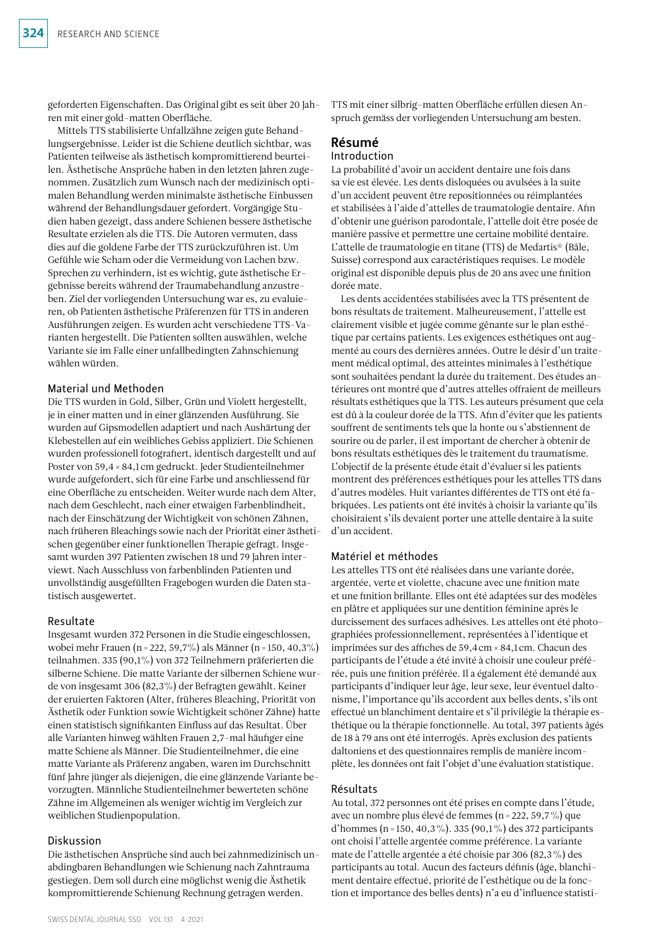geforderten Eigenschaften. Das Original gibt es seit über 20 Jahren mit einer gold-matten Oberfläche.

Mittels TTS stabilisierte Unfallzähne zeigen gute Behandlungsergebnisse. Leider ist die Schiene deutlich sichtbar, was Patienten teilweise als ästhetisch kompromittierend beurteilen. Ästhetische Ansprüche haben in den letzten Jahren zugenommen. Zusätzlich zum Wunsch nach der medizinisch optimalen Behandlung werden minimalste ästhetische Einbussen während der Behandlungsdauer gefordert. Vorgängige Studien haben gezeigt, dass andere Schienen bessere ästhetische Resultate erzielen als die TTS. Die Autoren vermuten, dass dies auf die goldene Farbe der TTS zurückzuführen ist. Um Gefühle wie Scham oder die Vermeidung von Lachen bzw. Sprechen zu verhindern, ist es wichtig, gute ästhetische Ergebnisse bereits während der Traumabehandlung anzustreben. Ziel der vorliegenden Untersuchung war es, zu evaluieren, ob Patienten ästhetische Präferenzen für TTS in anderen Ausführungen zeigen. Es wurden acht verschiedene TTS-Varianten hergestellt. Die Patienten sollten auswählen, welche Variante sie im Falle einer unfallbedingten Zahnschienung wählen würden.

### Material und Methoden

Die TTS wurden in Gold, Silber, Grün und Violett hergestellt, je in einer matten und in einer glänzenden Ausführung. Sie wurden auf Gipsmodellen adaptiert und nach Aushärtung der Klebestellen auf ein weibliches Gebiss appliziert. Die Schienen wurden professionell fotografiert, identisch dargestellt und auf Poster von 59,4 × 84,1cm gedruckt. Jeder Studienteilnehmer wurde aufgefordert, sich für eine Farbe und anschliessend für eine Oberfläche zu entscheiden. Weiter wurde nach dem Alter, nach dem Geschlecht, nach einer etwaigen Farbenblindheit, nach der Einschätzung der Wichtigkeit von schönen Zähnen, nach früheren Bleachings sowie nach der Priorität einer ästhetischen gegenüber einer funktionellen Therapie gefragt. Insgesamt wurden 397 Patienten zwischen 18 und 79 Jahren interviewt. Nach Ausschluss von farbenblinden Patienten und unvollständig ausgefüllten Fragebogen wurden die Daten statistisch ausgewertet.

### Resultate

Insgesamt wurden 372 Personen in die Studie eingeschlossen, wobei mehr Frauen (n=222, 59,7%) als Männer (n=150, 40,3%) teilnahmen. 335 (90,1%) von 372 Teilnehmern präferierten die silberne Schiene. Die matte Variante der silbernen Schiene wurde von insgesamt 306 (82,3%) der Befragten gewählt. Keiner der eruierten Faktoren (Alter, früheres Bleaching, Priorität von Ästhetik oder Funktion sowie Wichtigkeit schöner Zähne) hatte einen statistisch signifikanten Einfluss auf das Resultat. Über alle Varianten hinweg wählten Frauen 2,7-mal häufiger eine matte Schiene als Männer. Die Studienteilnehmer, die eine matte Variante als Präferenz angaben, waren im Durchschnitt fünf Jahre jünger als diejenigen, die eine glänzende Variante bevorzugten. Männliche Studienteilnehmer bewerteten schöne Zähne im Allgemeinen als weniger wichtig im Vergleich zur weiblichen Studienpopulation.

### Diskussion

Die ästhetischen Ansprüche sind auch bei zahnmedizinisch unabdingbaren Behandlungen wie Schienung nach Zahntrauma gestiegen. Dem soll durch eine möglichst wenig die Ästhetik kompromittierende Schienung Rechnung getragen werden.

TTS mit einer silbrig-matten Oberfläche erfüllen diesen Anspruch gemäss der vorliegenden Untersuchung am besten.

# Résumé

### Introduction

La probabilité d'avoir un accident dentaire une fois dans sa vie est élevée. Les dents disloquées ou avulsées à la suite d'un accident peuvent être repositionnées ou réimplantées et stabilisées à l'aide d'attelles de traumatologie dentaire. Afin d'obtenir une guérison parodontale, l'attelle doit être posée de manière passive et permettre une certaine mobilité dentaire. L'attelle de traumatologie en titane (TTS) de Medartis® (Bâle, Suisse) correspond aux caractéristiques requises. Le modèle original est disponible depuis plus de 20 ans avec une finition dorée mate.

Les dents accidentées stabilisées avec la TTS présentent de bons résultats de traitement. Malheureusement, l'attelle est clairement visible et jugée comme gênante sur le plan esthétique par certains patients. Les exigences esthétiques ont augmenté au cours des dernières années. Outre le désir d'un traitement médical optimal, des atteintes minimales à l'esthétique sont souhaitées pendant la durée du traitement. Des études antérieures ont montré que d'autres attelles offraient de meilleurs résultats esthétiques que la TTS. Les auteurs présument que cela est dû à la couleur dorée de la TTS. Afin d'éviter que les patients souffrent de sentiments tels que la honte ou s'abstiennent de sourire ou de parler, il est important de chercher à obtenir de bons résultats esthétiques dès le traitement du traumatisme. L'objectif de la présente étude était d'évaluer si les patients montrent des préférences esthétiques pour les attelles TTS dans d'autres modèles. Huit variantes différentes de TTS ont été fabriquées. Les patients ont été invités à choisir la variante qu'ils choisiraient s'ils devaient porter une attelle dentaire à la suite d'un accident.

### Matériel et méthodes

Les attelles TTS ont été réalisées dans une variante dorée, argentée, verte et violette, chacune avec une finition mate et une finition brillante. Elles ont été adaptées sur des modèles en plâtre et appliquées sur une dentition féminine après le durcissement des surfaces adhésives. Les attelles ont été photographiées professionnellement, représentées à l'identique et imprimées sur des affiches de 59,4cm× 84,1cm. Chacun des participants de l'étude a été invité à choisir une couleur préférée, puis une finition préférée. Il a également été demandé aux participants d'indiquer leur âge, leur sexe, leur éventuel daltonisme, l'importance qu'ils accordent aux belles dents, s'ils ont effectué un blanchiment dentaire et s'il privilégie la thérapie esthétique ou la thérapie fonctionnelle. Au total, 397 patients âgés de 18 à 79 ans ont été interrogés. Après exclusion des patients daltoniens et des questionnaires remplis de manière incomplète, les données ont fait l'objet d'une évaluation statistique.

#### Résultats

Au total, 372 personnes ont été prises en compte dans l'étude, avec un nombre plus élevé de femmes (n=222, 59,7%) que d'hommes (n=150, 40,3%). 335 (90,1%) des 372 participants ont choisi l'attelle argentée comme préférence. La variante mate de l'attelle argentée a été choisie par 306 (82,3%) des participants au total. Aucun des facteurs définis (âge, blanchiment dentaire effectué, priorité de l'esthétique ou de la fonction et importance des belles dents) n'a eu d'influence statisti-